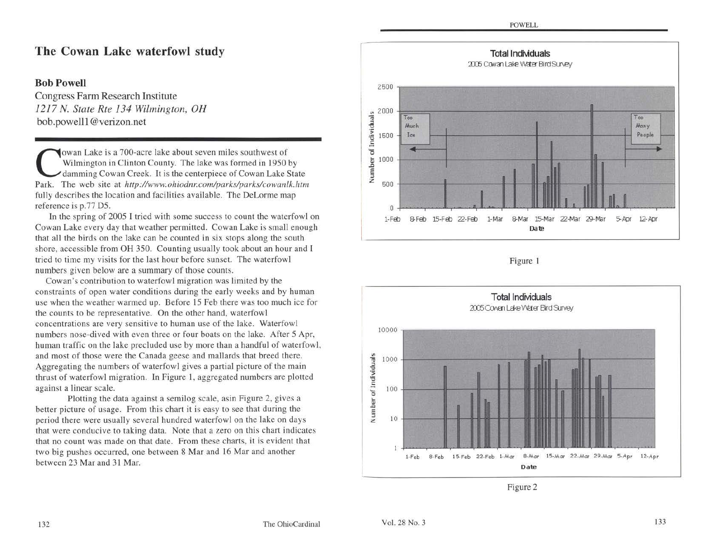## **The Cowan Lake waterfowl study**

### **Bob Powell**

Congress Farm Research Institute *1217* N. *State Rte 134 Wilmington, OH*  bob.powelll@verizon.net

**Cowan Lake is a 700-acre lake about seven miles southwest of<br>
Wilmington in Clinton County. The lake was formed in 1950 by<br>
damming Cowan Creek. It is the centerpiece of Cowan Lake State<br>
Park The web site at http://www.o** Wilmington in Clinton County. The lake was formed in 1950 by Park. The web site at *http://www.ohiodnr.com/parks/parkslcowanlk.htm*  fully describes the location and facilities available. The DeLorme map reference is p.77 D5.

In the spring of 2005 I tried with some success to count the waterfowl on Cowan Lake every day that weather permitted. Cowan Lake is small enough that all the birds on the lake can be counted in six stops along the south shore, accessible from OH 350. Counting usually took about an hour and I tried to time my visits for the last hour before sunset. The waterfowl numbers given below are a summary of those counts.

Cowan 's contribution to waterfowl migration was limited by the constraints of open water conditions during the early weeks and by human use when the weather warmed up. Before 15 Feb there was too much ice for the counts to be representative. On the other hand, waterfowl concentrations are very sensitive to human use of the lake. Waterfowl numbers nose-dived with even three or four boats on the lake. After 5 Apr, human traffic on the lake precluded use by more than a handful of waterfowl, and most of those were the Canada geese and mallards that breed there. Aggregating the numbers of waterfowl gives a partial picture of the main thrust of waterfowl migration. In Figure I, aggregated numbers are plotted against a linear scale.

Plotting the data against a semilog scale, asin Figure 2, gives a better picture of usage. From this chart it is easy to see that during the period there were usually several hundred waterfowl on the lake on days that were conducive to taking data. Note that a zero on this chart indicates that no count was made on that date. From these charts, it is evident that two big pushes occurred, one between 8 Mar and 16 Mar and another between 23 Mar and 31 Mar.



Figure I



Figure 2